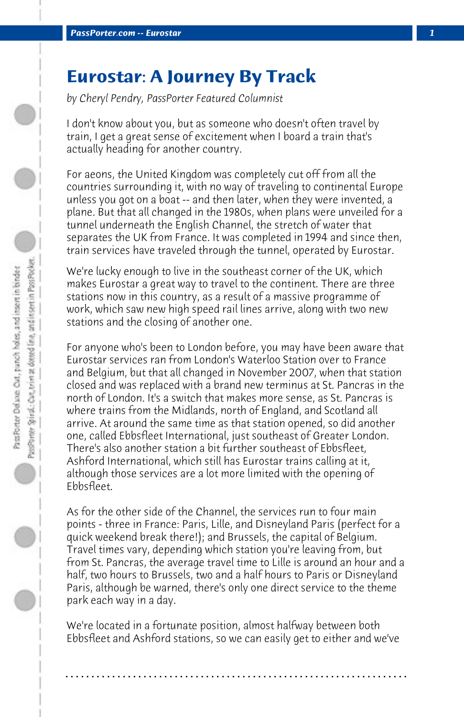## **Eurostar: A Journey By Track**

*by Cheryl Pendry, PassPorter Featured Columnist*

I don't know about you, but as someone who doesn't often travel by train, I get a great sense of excitement when I board a train that's actually heading for another country.

For aeons, the United Kingdom was completely cut off from all the countries surrounding it, with no way of traveling to continental Europe unless you got on a boat -- and then later, when they were invented, a plane. But that all changed in the 1980s, when plans were unveiled for a tunnel underneath the English Channel, the stretch of water that separates the UK from France. It was completed in 1994 and since then, train services have traveled through the tunnel, operated by Eurostar.

We're lucky enough to live in the southeast corner of the UK, which makes Eurostar a great way to travel to the continent. There are three stations now in this country, as a result of a massive programme of work, which saw new high speed rail lines arrive, along with two new stations and the closing of another one.

For anyone who's been to London before, you may have been aware that Eurostar services ran from London's Waterloo Station over to France and Belgium, but that all changed in November 2007, when that station closed and was replaced with a brand new terminus at St. Pancras in the north of London. It's a switch that makes more sense, as St. Pancras is where trains from the Midlands, north of England, and Scotland all arrive. At around the same time as that station opened, so did another one, called Ebbsfleet International, just southeast of Greater London. There's also another station a bit further southeast of Ebbsfleet, Ashford International, which still has Eurostar trains calling at it, although those services are a lot more limited with the opening of Ebbsfleet.

As for the other side of the Channel, the services run to four main points - three in France: Paris, Lille, and Disneyland Paris (perfect for a quick weekend break there!); and Brussels, the capital of Belgium. Travel times vary, depending which station you're leaving from, but from St. Pancras, the average travel time to Lille is around an hour and a half, two hours to Brussels, two and a half hours to Paris or Disneyland Paris, although be warned, there's only one direct service to the theme park each way in a day.

We're located in a fortunate position, almost halfway between both Ebbsfleet and Ashford stations, so we can easily get to either and we've

**. . . . . . . . . . . . . . . . . . . . . . . . . . . . . . . . . . . . . . . . . . . . . . . . . . . . . . . . . . . . . . . . . .**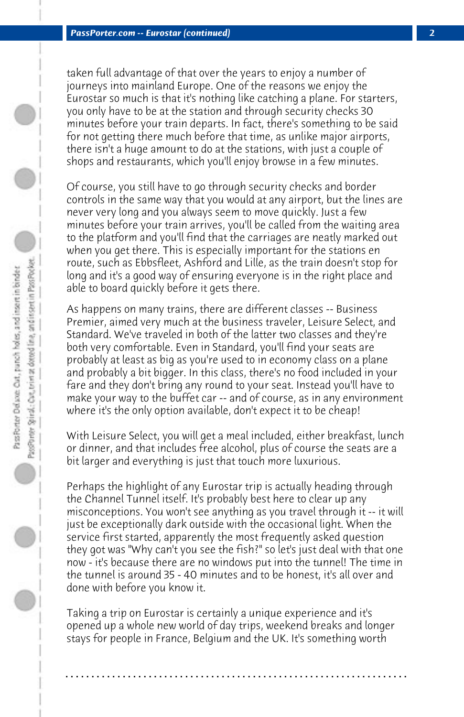taken full advantage of that over the years to enjoy a number of journeys into mainland Europe. One of the reasons we enjoy the Eurostar so much is that it's nothing like catching a plane. For starters, you only have to be at the station and through security checks 30 minutes before your train departs. In fact, there's something to be said for not getting there much before that time, as unlike major airports, there isn't a huge amount to do at the stations, with just a couple of shops and restaurants, which you'll enjoy browse in a few minutes.

Of course, you still have to go through security checks and border controls in the same way that you would at any airport, but the lines are never very long and you always seem to move quickly. Just a few minutes before your train arrives, you'll be called from the waiting area to the platform and you'll find that the carriages are neatly marked out when you get there. This is especially important for the stations en route, such as Ebbsfleet, Ashford and Lille, as the train doesn't stop for long and it's a good way of ensuring everyone is in the right place and able to board quickly before it gets there.

As happens on many trains, there are different classes -- Business Premier, aimed very much at the business traveler, Leisure Select, and Standard. We've traveled in both of the latter two classes and they're both very comfortable. Even in Standard, you'll find your seats are probably at least as big as you're used to in economy class on a plane and probably a bit bigger. In this class, there's no food included in your fare and they don't bring any round to your seat. Instead you'll have to make your way to the buffet car -- and of course, as in any environment where it's the only option available, don't expect it to be cheap!

With Leisure Select, you will get a meal included, either breakfast, lunch or dinner, and that includes free alcohol, plus of course the seats are a bit larger and everything is just that touch more luxurious.

Perhaps the highlight of any Eurostar trip is actually heading through the Channel Tunnel itself. It's probably best here to clear up any misconceptions. You won't see anything as you travel through it -- it will just be exceptionally dark outside with the occasional light. When the service first started, apparently the most frequently asked question they got was "Why can't you see the fish?" so let's just deal with that one now - it's because there are no windows put into the tunnel! The time in the tunnel is around 35 - 40 minutes and to be honest, it's all over and done with before you know it.

Taking a trip on Eurostar is certainly a unique experience and it's opened up a whole new world of day trips, weekend breaks and longer stays for people in France, Belgium and the UK. It's something worth

**. . . . . . . . . . . . . . . . . . . . . . . . . . . . . . . . . . . . . . . . . . . . . . . . . . . . . . . . . . . . . . . . . .**